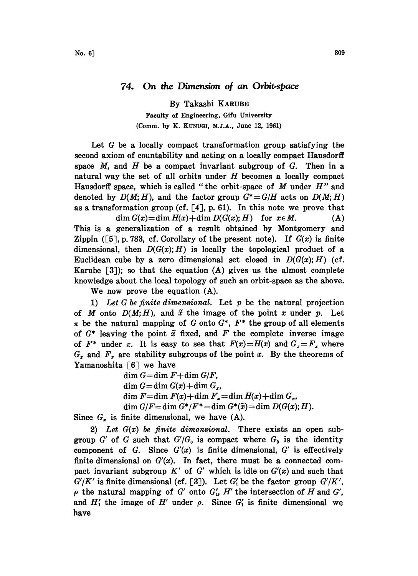By Takashi KARUBE

Faculty of Engineering, Gifu University (Comm. by K. KUNUGI, M.J.A., June 12, 1961)

Let  $G$  be a locally compact transformation group satisfying the second axiom of countability and acting on a locally compact Hausdorff space  $M$ , and  $H$  be a compact invariant subgroup of  $G$ . Then in a natural way the set of all orbits under  $H$  becomes a locally compact Hausdorff space, which is called "the orbit-space of  $M$  under  $H$ " and denoted by  $D(M; H)$ , and the factor group  $G^* = G/H$  acts on  $D(M; H)$ as a transformation group (cf.  $[4]$ , p. 61). In this note we prove that  $\dim G(x) = \dim H(x) + \dim D(G(x); H)$  for  $x \in M$ . (A) This is a generalization of a result obtained by Montgomery and Zippin ([5], p. 783, cf. Corollary of the present note). If  $G(x)$  is finite dimensional, then  $D(G(x);H)$  is locally the topological product of a Euclidean cube by a zero dimensional set closed in  $D(G(x);H)$  (cf. Karube  $\lceil 3 \rceil$ ; so that the equation  $(A)$  gives us the almost complete knowledge about the local topology of such an orbit-space as the above.

We now prove the equation (A).

1) Let G be finite dimensional. Let  $p$  be the natural projection of M onto  $D(M;H)$ , and  $\tilde{x}$  the image of the point x under p. Let  $\pi$  be the natural mapping of G onto  $G^*$ ,  $F^*$  the group of all elements of  $G^*$  leaving the point  $\tilde{x}$  fixed, and F the complete inverse image of  $F^*$  under  $\pi$ . It is easy to see that  $F(x)=H(x)$  and  $G_x=F_x$  where  $G_x$  and  $F_x$  are stability subgroups of the point x. By the theorems of Yamanoshita  $\lceil 6 \rceil$  we have

> $dim G=dim F+dim G/F,$ dim  $G = \dim G(x) + \dim G_x$ , dim  $F = \dim F(x) + \dim F_x = \dim H(x) + \dim G_x$ , dim  $G/F = \dim G^*/F^* = \dim G^*(\tilde{x}) = \dim D(G(x); H).$

Since  $G_x$  is finite dimensional, we have (A).

2) Let  $G(x)$  be finite dimensional. There exists an open subgroup G' of G such that  $G'/G_0$  is compact where  $G_0$  is the identity component of G. Since  $G'(x)$  is finite dimensional,  $G'$  is effectively finite dimensional on  $G'(x)$ . In fact, there must be a connected compact invariant subgroup  $K'$  of G' which is idle on  $G'(x)$  and such that  $G'/K'$  is finite dimensional (cf. [3]). Let  $G'_{1}$  be the factor group  $G'/K'$ ,  $\rho$  the natural mapping of G' onto  $G'_{1}$ , H' the intersection of H and G', and  $H'_1$  the image of  $H'$  under  $\rho$ . Since  $G'_1$  is finite dimensional we have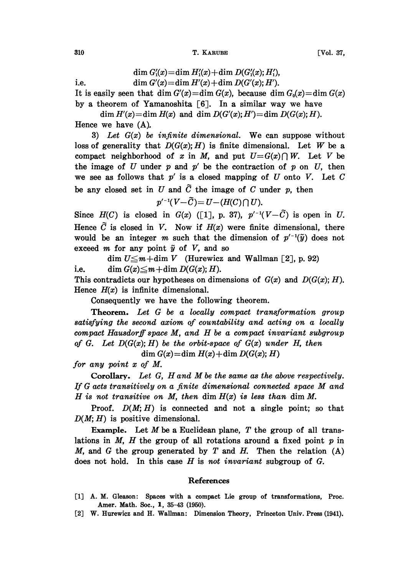310 **T. KARUBE [Vol. 37,** 

$$
\dim G'_{\mathbf i}(x)\!=\!\dim H'_{\mathbf i}(x)\!+\!\dim D(G'_{\mathbf i}(x);H'_{\mathbf i}),
$$

i.e.  $\dim G'(x) = \dim H'(x) + \dim D(G'(x); H').$ 

It is easily seen that dim  $G'(x) = \dim G(x)$ , because dim  $G_0(x) = \dim G(x)$ by a theorem of Yamanoshita  $\lceil 6 \rceil$ . In a similar way we have

dim  $H'(x) = \dim H(x)$  and dim  $D(G'(x); H') = \dim D(G(x); H)$ . Hence we have (A).

3) Let  $G(x)$  be infinite dimensional. We can suppose without loss of generality that  $D(G(x); H)$  is finite dimensional. Let W be a compact neighborhood of x in M, and put  $U=G(x)\bigcap W$ . Let V be the image of U under p and  $p'$  be the contraction of p on U, then we see as follows that  $p'$  is a closed mapping of  $U$  onto  $V$ . Let  $C$ be any closed set in U and  $\tilde{C}$  the image of C under p, then

$$
p'^{-1}(V-\widetilde{C})=U-(H(C)\cap U).
$$

Since  $H(C)$  is closed in  $G(x)$  ([1], p. 37),  $p'^{-1}(V-\tilde{C})$  is open in U. Hence  $\tilde{C}$  is closed in V. Now if  $H(x)$  were finite dimensional, there would be an integer m such that the dimension of  $p^{-1}(\tilde{y})$  does not exceed m for any point  $\tilde{y}$  of V, and so

dim  $U \leq m + \dim V$  (Hurewicz and Wallman [2], p. 92) i.e. dim  $G(x) \leq m + \dim D(G(x); H)$ .

This contradicts our hypotheses on dimensions of  $G(x)$  and  $D(G(x); H)$ . Hence  $H(x)$  is infinite dimensional.

Consequently we have the following theorem.

Theorem. Let G be a locally compact transformation group satisfying the second axiom of countability and acting on a locally compact Hausdorff space M, and H be <sup>a</sup> compact invariant subgroup of G. Let  $D(G(x); H)$  be the orbit-space of  $G(x)$  under H, then

 $dim G(x) = dim H(x) + dim D(G(x); H)$ 

for any point x of M.

Corollary. Let  $G$ ,  $H$  and  $M$  be the same as the above respectively. If <sup>G</sup> acts transitively on <sup>a</sup> finite dimensional connected space M and H is not transitive on M, then  $\dim H(x)$  is less than  $\dim M$ .

**Proof.**  $D(M; H)$  is connected and not a single point; so that  $D(M; H)$  is positive dimensional.

Example. Let  $M$  be a Euclidean plane,  $T$  the group of all translations in  $M$ ,  $H$  the group of all rotations around a fixed point  $p$  in M, and G the group generated by T and H. Then the relation  $(A)$ does not hold. In this case  $H$  is not invariant subgroup of  $G$ .

## References

- [1] A. M. Gleason: Spaces with a compact Lie group of transformations, Proc. Amer. Math. Soc., 1, 35-43 (1950).
- [2] W. Hurewicz and H. Wallman: Dimension Theory, Princeton Univ. Press (1941).